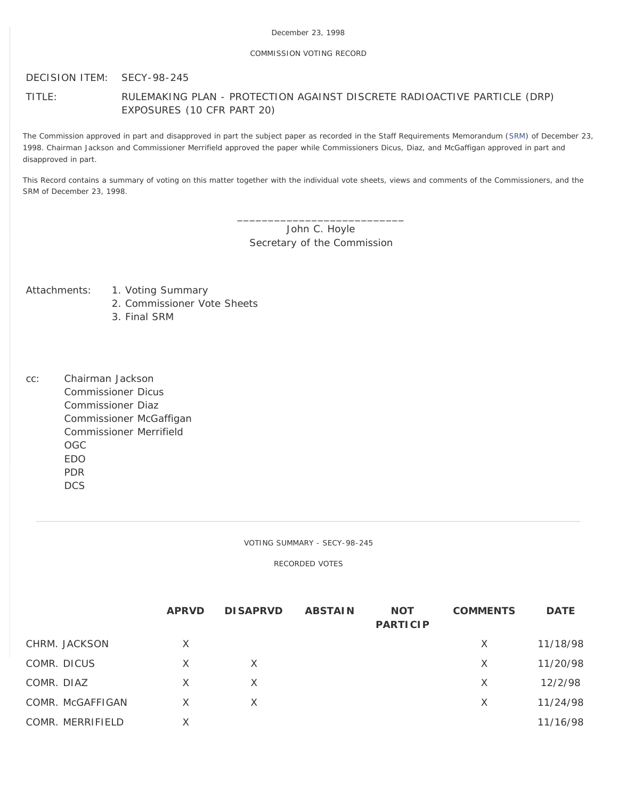# COMMISSION VOTING RECORD

DECISION ITEM: SECY-98-245

TITLE: RULEMAKING PLAN - PROTECTION AGAINST DISCRETE RADIOACTIVE PARTICLE (DRP) EXPOSURES (10 CFR PART 20)

The Commission approved in part and disapproved in part the subject paper as recorded in the Staff Requirements Memorandum ([SRM\)](http://www.nrc.gov/reading-rm/doc-collections/commission/srm/1998/1998-245srm.html) of December 23, 1998. Chairman Jackson and Commissioner Merrifield approved the paper while Commissioners Dicus, Diaz, and McGaffigan approved in part and disapproved in part.

This Record contains a summary of voting on this matter together with the individual vote sheets, views and comments of the Commissioners, and the SRM of December 23, 1998.

> \_\_\_\_\_\_\_\_\_\_\_\_\_\_\_\_\_\_\_\_\_\_\_\_\_\_\_ John C. Hoyle Secretary of the Commission

- Attachments: 1. Voting Summary
	- 2. Commissioner Vote Sheets
	- 3. Final SRM
- cc: Chairman Jackson Commissioner Dicus Commissioner Diaz Commissioner McGaffigan Commissioner Merrifield OGC EDO PDR DCS

VOTING SUMMARY - SECY-98-245

RECORDED VOTES

|                  | <b>APRVD</b> | <b>DISAPRVD</b> | <b>ABSTAIN</b> | <b>NOT</b><br><b>PARTICIP</b> | <b>COMMENTS</b> | <b>DATE</b> |
|------------------|--------------|-----------------|----------------|-------------------------------|-----------------|-------------|
| CHRM. JACKSON    | X            |                 |                |                               | X               | 11/18/98    |
| COMR. DICUS      | $\times$     | $\times$        |                |                               | X               | 11/20/98    |
| COMR. DIAZ       | X            | $\times$        |                |                               | X               | 12/2/98     |
| COMR. McGAFFIGAN | X            | X               |                |                               | X               | 11/24/98    |
| COMR. MERRIFIELD | Χ            |                 |                |                               |                 | 11/16/98    |